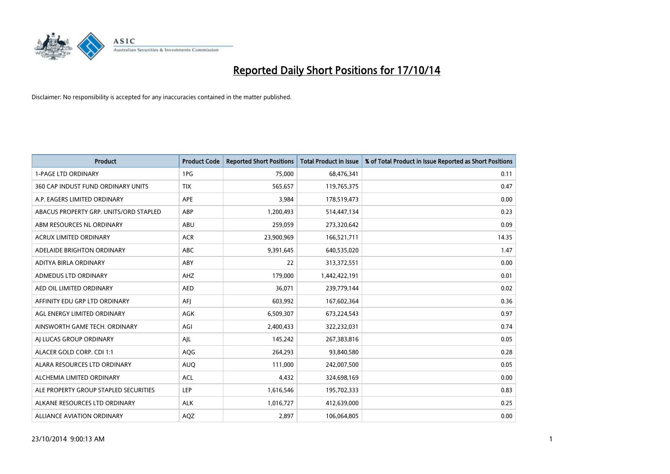

| Product                                | <b>Product Code</b> | <b>Reported Short Positions</b> | <b>Total Product in Issue</b> | % of Total Product in Issue Reported as Short Positions |
|----------------------------------------|---------------------|---------------------------------|-------------------------------|---------------------------------------------------------|
| <b>1-PAGE LTD ORDINARY</b>             | 1PG                 | 75,000                          | 68,476,341                    | 0.11                                                    |
| 360 CAP INDUST FUND ORDINARY UNITS     | <b>TIX</b>          | 565,657                         | 119,765,375                   | 0.47                                                    |
| A.P. EAGERS LIMITED ORDINARY           | APE                 | 3,984                           | 178,519,473                   | 0.00                                                    |
| ABACUS PROPERTY GRP. UNITS/ORD STAPLED | ABP                 | 1,200,493                       | 514,447,134                   | 0.23                                                    |
| ABM RESOURCES NL ORDINARY              | ABU                 | 259,059                         | 273,320,642                   | 0.09                                                    |
| <b>ACRUX LIMITED ORDINARY</b>          | <b>ACR</b>          | 23,900,969                      | 166,521,711                   | 14.35                                                   |
| ADELAIDE BRIGHTON ORDINARY             | <b>ABC</b>          | 9,391,645                       | 640,535,020                   | 1.47                                                    |
| ADITYA BIRLA ORDINARY                  | ABY                 | 22                              | 313,372,551                   | 0.00                                                    |
| ADMEDUS LTD ORDINARY                   | AHZ                 | 179,000                         | 1,442,422,191                 | 0.01                                                    |
| AED OIL LIMITED ORDINARY               | <b>AED</b>          | 36,071                          | 239,779,144                   | 0.02                                                    |
| AFFINITY EDU GRP LTD ORDINARY          | AFI                 | 603,992                         | 167,602,364                   | 0.36                                                    |
| AGL ENERGY LIMITED ORDINARY            | AGK                 | 6,509,307                       | 673,224,543                   | 0.97                                                    |
| AINSWORTH GAME TECH. ORDINARY          | AGI                 | 2,400,433                       | 322,232,031                   | 0.74                                                    |
| AI LUCAS GROUP ORDINARY                | AJL                 | 145,242                         | 267,383,816                   | 0.05                                                    |
| ALACER GOLD CORP. CDI 1:1              | AQG                 | 264,293                         | 93,840,580                    | 0.28                                                    |
| ALARA RESOURCES LTD ORDINARY           | <b>AUQ</b>          | 111,000                         | 242,007,500                   | 0.05                                                    |
| ALCHEMIA LIMITED ORDINARY              | <b>ACL</b>          | 4,432                           | 324,698,169                   | 0.00                                                    |
| ALE PROPERTY GROUP STAPLED SECURITIES  | LEP                 | 1,616,546                       | 195,702,333                   | 0.83                                                    |
| ALKANE RESOURCES LTD ORDINARY          | <b>ALK</b>          | 1,016,727                       | 412,639,000                   | 0.25                                                    |
| ALLIANCE AVIATION ORDINARY             | AQZ                 | 2,897                           | 106,064,805                   | 0.00                                                    |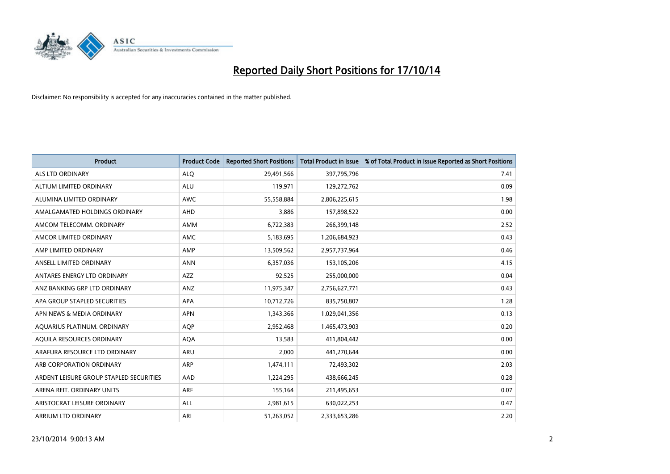

| <b>Product</b>                          | <b>Product Code</b> | <b>Reported Short Positions</b> | <b>Total Product in Issue</b> | % of Total Product in Issue Reported as Short Positions |
|-----------------------------------------|---------------------|---------------------------------|-------------------------------|---------------------------------------------------------|
| ALS LTD ORDINARY                        | <b>ALQ</b>          | 29,491,566                      | 397,795,796                   | 7.41                                                    |
| ALTIUM LIMITED ORDINARY                 | ALU                 | 119,971                         | 129,272,762                   | 0.09                                                    |
| ALUMINA LIMITED ORDINARY                | <b>AWC</b>          | 55,558,884                      | 2,806,225,615                 | 1.98                                                    |
| AMALGAMATED HOLDINGS ORDINARY           | AHD                 | 3,886                           | 157,898,522                   | 0.00                                                    |
| AMCOM TELECOMM, ORDINARY                | AMM                 | 6,722,383                       | 266,399,148                   | 2.52                                                    |
| AMCOR LIMITED ORDINARY                  | <b>AMC</b>          | 5,183,695                       | 1,206,684,923                 | 0.43                                                    |
| AMP LIMITED ORDINARY                    | AMP                 | 13,509,562                      | 2,957,737,964                 | 0.46                                                    |
| ANSELL LIMITED ORDINARY                 | <b>ANN</b>          | 6,357,036                       | 153,105,206                   | 4.15                                                    |
| ANTARES ENERGY LTD ORDINARY             | <b>AZZ</b>          | 92,525                          | 255,000,000                   | 0.04                                                    |
| ANZ BANKING GRP LTD ORDINARY            | ANZ                 | 11,975,347                      | 2,756,627,771                 | 0.43                                                    |
| APA GROUP STAPLED SECURITIES            | APA                 | 10,712,726                      | 835,750,807                   | 1.28                                                    |
| APN NEWS & MEDIA ORDINARY               | <b>APN</b>          | 1,343,366                       | 1,029,041,356                 | 0.13                                                    |
| AQUARIUS PLATINUM. ORDINARY             | <b>AOP</b>          | 2,952,468                       | 1,465,473,903                 | 0.20                                                    |
| AQUILA RESOURCES ORDINARY               | <b>AQA</b>          | 13,583                          | 411,804,442                   | 0.00                                                    |
| ARAFURA RESOURCE LTD ORDINARY           | <b>ARU</b>          | 2,000                           | 441,270,644                   | 0.00                                                    |
| ARB CORPORATION ORDINARY                | ARP                 | 1,474,111                       | 72,493,302                    | 2.03                                                    |
| ARDENT LEISURE GROUP STAPLED SECURITIES | AAD                 | 1,224,295                       | 438,666,245                   | 0.28                                                    |
| ARENA REIT. ORDINARY UNITS              | <b>ARF</b>          | 155,164                         | 211,495,653                   | 0.07                                                    |
| ARISTOCRAT LEISURE ORDINARY             | ALL                 | 2,981,615                       | 630,022,253                   | 0.47                                                    |
| ARRIUM LTD ORDINARY                     | ARI                 | 51,263,052                      | 2,333,653,286                 | 2.20                                                    |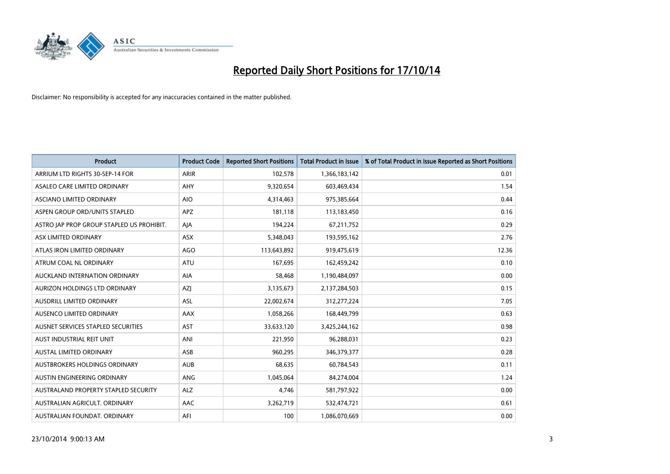

| <b>Product</b>                            | <b>Product Code</b> | <b>Reported Short Positions</b> | <b>Total Product in Issue</b> | % of Total Product in Issue Reported as Short Positions |
|-------------------------------------------|---------------------|---------------------------------|-------------------------------|---------------------------------------------------------|
| ARRIUM LTD RIGHTS 30-SEP-14 FOR           | <b>ARIR</b>         | 102,578                         | 1,366,183,142                 | 0.01                                                    |
| ASALEO CARE LIMITED ORDINARY              | AHY                 | 9,320,654                       | 603,469,434                   | 1.54                                                    |
| ASCIANO LIMITED ORDINARY                  | <b>AIO</b>          | 4,314,463                       | 975,385,664                   | 0.44                                                    |
| ASPEN GROUP ORD/UNITS STAPLED             | APZ                 | 181,118                         | 113,183,450                   | 0.16                                                    |
| ASTRO JAP PROP GROUP STAPLED US PROHIBIT. | AJA                 | 194,224                         | 67,211,752                    | 0.29                                                    |
| ASX LIMITED ORDINARY                      | ASX                 | 5,348,043                       | 193,595,162                   | 2.76                                                    |
| ATLAS IRON LIMITED ORDINARY               | <b>AGO</b>          | 113,643,892                     | 919,475,619                   | 12.36                                                   |
| ATRUM COAL NL ORDINARY                    | ATU                 | 167,695                         | 162,459,242                   | 0.10                                                    |
| AUCKLAND INTERNATION ORDINARY             | <b>AIA</b>          | 58,468                          | 1,190,484,097                 | 0.00                                                    |
| AURIZON HOLDINGS LTD ORDINARY             | AZI                 | 3,135,673                       | 2,137,284,503                 | 0.15                                                    |
| AUSDRILL LIMITED ORDINARY                 | ASL                 | 22,002,674                      | 312,277,224                   | 7.05                                                    |
| AUSENCO LIMITED ORDINARY                  | AAX                 | 1,058,266                       | 168,449,799                   | 0.63                                                    |
| AUSNET SERVICES STAPLED SECURITIES        | <b>AST</b>          | 33,633,120                      | 3,425,244,162                 | 0.98                                                    |
| AUST INDUSTRIAL REIT UNIT                 | ANI                 | 221,950                         | 96,288,031                    | 0.23                                                    |
| <b>AUSTAL LIMITED ORDINARY</b>            | ASB                 | 960,295                         | 346,379,377                   | 0.28                                                    |
| AUSTBROKERS HOLDINGS ORDINARY             | <b>AUB</b>          | 68,635                          | 60,784,543                    | 0.11                                                    |
| AUSTIN ENGINEERING ORDINARY               | ANG                 | 1,045,064                       | 84,274,004                    | 1.24                                                    |
| AUSTRALAND PROPERTY STAPLED SECURITY      | <b>ALZ</b>          | 4,746                           | 581,797,922                   | 0.00                                                    |
| AUSTRALIAN AGRICULT, ORDINARY             | AAC                 | 3,262,719                       | 532,474,721                   | 0.61                                                    |
| AUSTRALIAN FOUNDAT. ORDINARY              | AFI                 | 100                             | 1,086,070,669                 | 0.00                                                    |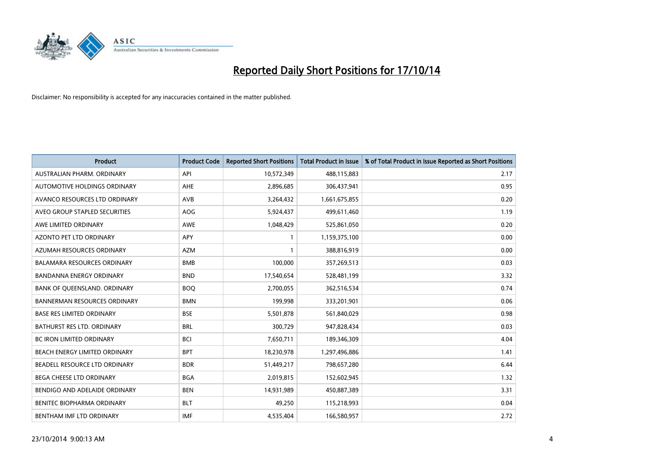

| <b>Product</b>                      | <b>Product Code</b> | <b>Reported Short Positions</b> | <b>Total Product in Issue</b> | % of Total Product in Issue Reported as Short Positions |
|-------------------------------------|---------------------|---------------------------------|-------------------------------|---------------------------------------------------------|
| AUSTRALIAN PHARM, ORDINARY          | API                 | 10,572,349                      | 488,115,883                   | 2.17                                                    |
| AUTOMOTIVE HOLDINGS ORDINARY        | AHE                 | 2,896,685                       | 306,437,941                   | 0.95                                                    |
| AVANCO RESOURCES LTD ORDINARY       | AVB                 | 3,264,432                       | 1,661,675,855                 | 0.20                                                    |
| AVEO GROUP STAPLED SECURITIES       | AOG                 | 5,924,437                       | 499,611,460                   | 1.19                                                    |
| AWE LIMITED ORDINARY                | <b>AWE</b>          | 1,048,429                       | 525,861,050                   | 0.20                                                    |
| <b>AZONTO PET LTD ORDINARY</b>      | <b>APY</b>          | $\mathbf{1}$                    | 1,159,375,100                 | 0.00                                                    |
| AZUMAH RESOURCES ORDINARY           | <b>AZM</b>          | $\mathbf{1}$                    | 388,816,919                   | 0.00                                                    |
| BALAMARA RESOURCES ORDINARY         | <b>BMB</b>          | 100,000                         | 357,269,513                   | 0.03                                                    |
| <b>BANDANNA ENERGY ORDINARY</b>     | <b>BND</b>          | 17,540,654                      | 528,481,199                   | 3.32                                                    |
| BANK OF QUEENSLAND. ORDINARY        | <b>BOQ</b>          | 2,700,055                       | 362,516,534                   | 0.74                                                    |
| <b>BANNERMAN RESOURCES ORDINARY</b> | <b>BMN</b>          | 199,998                         | 333,201,901                   | 0.06                                                    |
| <b>BASE RES LIMITED ORDINARY</b>    | <b>BSE</b>          | 5,501,878                       | 561,840,029                   | 0.98                                                    |
| BATHURST RES LTD. ORDINARY          | <b>BRL</b>          | 300,729                         | 947,828,434                   | 0.03                                                    |
| <b>BC IRON LIMITED ORDINARY</b>     | <b>BCI</b>          | 7,650,711                       | 189,346,309                   | 4.04                                                    |
| BEACH ENERGY LIMITED ORDINARY       | <b>BPT</b>          | 18,230,978                      | 1,297,496,886                 | 1.41                                                    |
| BEADELL RESOURCE LTD ORDINARY       | <b>BDR</b>          | 51,449,217                      | 798,657,280                   | 6.44                                                    |
| BEGA CHEESE LTD ORDINARY            | <b>BGA</b>          | 2,019,815                       | 152,602,945                   | 1.32                                                    |
| BENDIGO AND ADELAIDE ORDINARY       | <b>BEN</b>          | 14,931,989                      | 450,887,389                   | 3.31                                                    |
| <b>BENITEC BIOPHARMA ORDINARY</b>   | <b>BLT</b>          | 49,250                          | 115,218,993                   | 0.04                                                    |
| BENTHAM IMF LTD ORDINARY            | <b>IMF</b>          | 4,535,404                       | 166,580,957                   | 2.72                                                    |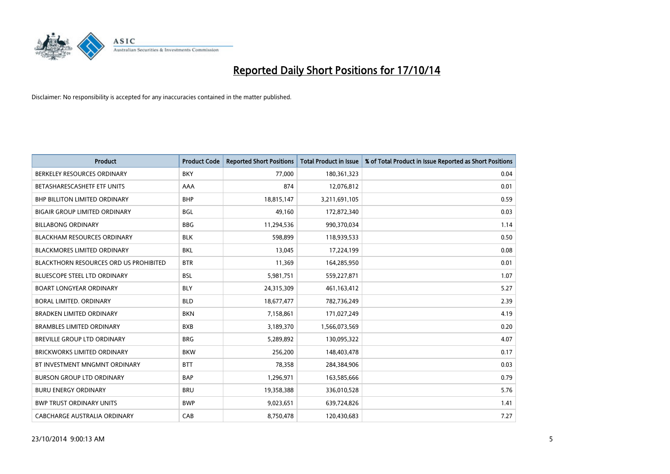

| <b>Product</b>                         | <b>Product Code</b> | <b>Reported Short Positions</b> | <b>Total Product in Issue</b> | % of Total Product in Issue Reported as Short Positions |
|----------------------------------------|---------------------|---------------------------------|-------------------------------|---------------------------------------------------------|
| BERKELEY RESOURCES ORDINARY            | <b>BKY</b>          | 77,000                          | 180,361,323                   | 0.04                                                    |
| BETASHARESCASHETF ETF UNITS            | AAA                 | 874                             | 12,076,812                    | 0.01                                                    |
| BHP BILLITON LIMITED ORDINARY          | <b>BHP</b>          | 18,815,147                      | 3,211,691,105                 | 0.59                                                    |
| <b>BIGAIR GROUP LIMITED ORDINARY</b>   | <b>BGL</b>          | 49,160                          | 172,872,340                   | 0.03                                                    |
| <b>BILLABONG ORDINARY</b>              | <b>BBG</b>          | 11,294,536                      | 990,370,034                   | 1.14                                                    |
| <b>BLACKHAM RESOURCES ORDINARY</b>     | <b>BLK</b>          | 598,899                         | 118,939,533                   | 0.50                                                    |
| <b>BLACKMORES LIMITED ORDINARY</b>     | <b>BKL</b>          | 13,045                          | 17,224,199                    | 0.08                                                    |
| BLACKTHORN RESOURCES ORD US PROHIBITED | <b>BTR</b>          | 11,369                          | 164,285,950                   | 0.01                                                    |
| <b>BLUESCOPE STEEL LTD ORDINARY</b>    | <b>BSL</b>          | 5,981,751                       | 559,227,871                   | 1.07                                                    |
| <b>BOART LONGYEAR ORDINARY</b>         | <b>BLY</b>          | 24,315,309                      | 461,163,412                   | 5.27                                                    |
| BORAL LIMITED. ORDINARY                | <b>BLD</b>          | 18,677,477                      | 782,736,249                   | 2.39                                                    |
| <b>BRADKEN LIMITED ORDINARY</b>        | <b>BKN</b>          | 7,158,861                       | 171,027,249                   | 4.19                                                    |
| <b>BRAMBLES LIMITED ORDINARY</b>       | <b>BXB</b>          | 3,189,370                       | 1,566,073,569                 | 0.20                                                    |
| <b>BREVILLE GROUP LTD ORDINARY</b>     | <b>BRG</b>          | 5,289,892                       | 130,095,322                   | 4.07                                                    |
| <b>BRICKWORKS LIMITED ORDINARY</b>     | <b>BKW</b>          | 256,200                         | 148,403,478                   | 0.17                                                    |
| BT INVESTMENT MNGMNT ORDINARY          | <b>BTT</b>          | 78,358                          | 284,384,906                   | 0.03                                                    |
| <b>BURSON GROUP LTD ORDINARY</b>       | <b>BAP</b>          | 1,296,971                       | 163,585,666                   | 0.79                                                    |
| <b>BURU ENERGY ORDINARY</b>            | <b>BRU</b>          | 19,358,388                      | 336,010,528                   | 5.76                                                    |
| <b>BWP TRUST ORDINARY UNITS</b>        | <b>BWP</b>          | 9,023,651                       | 639,724,826                   | 1.41                                                    |
| CABCHARGE AUSTRALIA ORDINARY           | CAB                 | 8,750,478                       | 120,430,683                   | 7.27                                                    |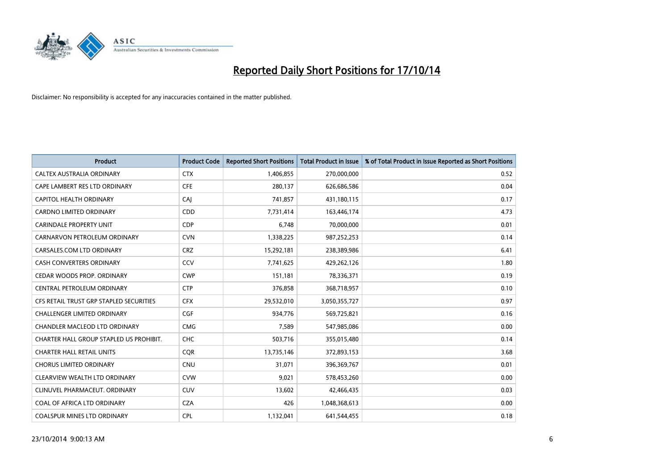

| <b>Product</b>                          | <b>Product Code</b> | <b>Reported Short Positions</b> | <b>Total Product in Issue</b> | % of Total Product in Issue Reported as Short Positions |
|-----------------------------------------|---------------------|---------------------------------|-------------------------------|---------------------------------------------------------|
| CALTEX AUSTRALIA ORDINARY               | <b>CTX</b>          | 1,406,855                       | 270,000,000                   | 0.52                                                    |
| CAPE LAMBERT RES LTD ORDINARY           | <b>CFE</b>          | 280,137                         | 626,686,586                   | 0.04                                                    |
| CAPITOL HEALTH ORDINARY                 | <b>CAJ</b>          | 741,857                         | 431,180,115                   | 0.17                                                    |
| CARDNO LIMITED ORDINARY                 | CDD                 | 7,731,414                       | 163,446,174                   | 4.73                                                    |
| <b>CARINDALE PROPERTY UNIT</b>          | <b>CDP</b>          | 6,748                           | 70,000,000                    | 0.01                                                    |
| CARNARVON PETROLEUM ORDINARY            | <b>CVN</b>          | 1,338,225                       | 987,252,253                   | 0.14                                                    |
| CARSALES.COM LTD ORDINARY               | <b>CRZ</b>          | 15,292,181                      | 238,389,986                   | 6.41                                                    |
| <b>CASH CONVERTERS ORDINARY</b>         | CCV                 | 7,741,625                       | 429,262,126                   | 1.80                                                    |
| CEDAR WOODS PROP. ORDINARY              | <b>CWP</b>          | 151,181                         | 78,336,371                    | 0.19                                                    |
| <b>CENTRAL PETROLEUM ORDINARY</b>       | <b>CTP</b>          | 376,858                         | 368,718,957                   | 0.10                                                    |
| CFS RETAIL TRUST GRP STAPLED SECURITIES | <b>CFX</b>          | 29,532,010                      | 3,050,355,727                 | 0.97                                                    |
| <b>CHALLENGER LIMITED ORDINARY</b>      | <b>CGF</b>          | 934,776                         | 569,725,821                   | 0.16                                                    |
| CHANDLER MACLEOD LTD ORDINARY           | <b>CMG</b>          | 7,589                           | 547,985,086                   | 0.00                                                    |
| CHARTER HALL GROUP STAPLED US PROHIBIT. | <b>CHC</b>          | 503,716                         | 355,015,480                   | 0.14                                                    |
| <b>CHARTER HALL RETAIL UNITS</b>        | CQR                 | 13,735,146                      | 372,893,153                   | 3.68                                                    |
| <b>CHORUS LIMITED ORDINARY</b>          | <b>CNU</b>          | 31,071                          | 396,369,767                   | 0.01                                                    |
| CLEARVIEW WEALTH LTD ORDINARY           | <b>CVW</b>          | 9,021                           | 578,453,260                   | 0.00                                                    |
| CLINUVEL PHARMACEUT. ORDINARY           | <b>CUV</b>          | 13,602                          | 42,466,435                    | 0.03                                                    |
| COAL OF AFRICA LTD ORDINARY             | <b>CZA</b>          | 426                             | 1,048,368,613                 | 0.00                                                    |
| <b>COALSPUR MINES LTD ORDINARY</b>      | <b>CPL</b>          | 1,132,041                       | 641,544,455                   | 0.18                                                    |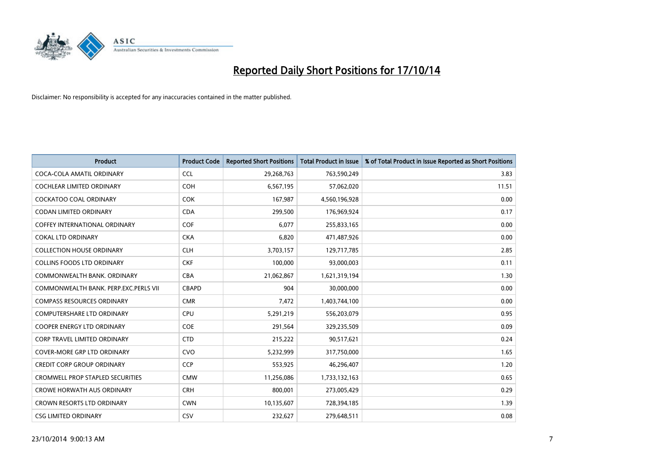

| <b>Product</b>                          | <b>Product Code</b> | <b>Reported Short Positions</b> | <b>Total Product in Issue</b> | % of Total Product in Issue Reported as Short Positions |
|-----------------------------------------|---------------------|---------------------------------|-------------------------------|---------------------------------------------------------|
| COCA-COLA AMATIL ORDINARY               | <b>CCL</b>          | 29,268,763                      | 763,590,249                   | 3.83                                                    |
| <b>COCHLEAR LIMITED ORDINARY</b>        | <b>COH</b>          | 6,567,195                       | 57,062,020                    | 11.51                                                   |
| COCKATOO COAL ORDINARY                  | <b>COK</b>          | 167,987                         | 4,560,196,928                 | 0.00                                                    |
| <b>CODAN LIMITED ORDINARY</b>           | <b>CDA</b>          | 299,500                         | 176,969,924                   | 0.17                                                    |
| <b>COFFEY INTERNATIONAL ORDINARY</b>    | <b>COF</b>          | 6,077                           | 255,833,165                   | 0.00                                                    |
| <b>COKAL LTD ORDINARY</b>               | <b>CKA</b>          | 6,820                           | 471,487,926                   | 0.00                                                    |
| <b>COLLECTION HOUSE ORDINARY</b>        | <b>CLH</b>          | 3,703,157                       | 129,717,785                   | 2.85                                                    |
| <b>COLLINS FOODS LTD ORDINARY</b>       | <b>CKF</b>          | 100,000                         | 93,000,003                    | 0.11                                                    |
| COMMONWEALTH BANK, ORDINARY             | <b>CBA</b>          | 21,062,867                      | 1,621,319,194                 | 1.30                                                    |
| COMMONWEALTH BANK, PERP.EXC.PERLS VII   | CBAPD               | 904                             | 30,000,000                    | 0.00                                                    |
| <b>COMPASS RESOURCES ORDINARY</b>       | <b>CMR</b>          | 7,472                           | 1,403,744,100                 | 0.00                                                    |
| COMPUTERSHARE LTD ORDINARY              | <b>CPU</b>          | 5,291,219                       | 556,203,079                   | 0.95                                                    |
| COOPER ENERGY LTD ORDINARY              | <b>COE</b>          | 291,564                         | 329,235,509                   | 0.09                                                    |
| <b>CORP TRAVEL LIMITED ORDINARY</b>     | <b>CTD</b>          | 215,222                         | 90,517,621                    | 0.24                                                    |
| <b>COVER-MORE GRP LTD ORDINARY</b>      | <b>CVO</b>          | 5,232,999                       | 317,750,000                   | 1.65                                                    |
| <b>CREDIT CORP GROUP ORDINARY</b>       | <b>CCP</b>          | 553,925                         | 46,296,407                    | 1.20                                                    |
| <b>CROMWELL PROP STAPLED SECURITIES</b> | <b>CMW</b>          | 11,256,086                      | 1,733,132,163                 | 0.65                                                    |
| <b>CROWE HORWATH AUS ORDINARY</b>       | <b>CRH</b>          | 800.001                         | 273,005,429                   | 0.29                                                    |
| <b>CROWN RESORTS LTD ORDINARY</b>       | <b>CWN</b>          | 10,135,607                      | 728,394,185                   | 1.39                                                    |
| <b>CSG LIMITED ORDINARY</b>             | CSV                 | 232,627                         | 279,648,511                   | 0.08                                                    |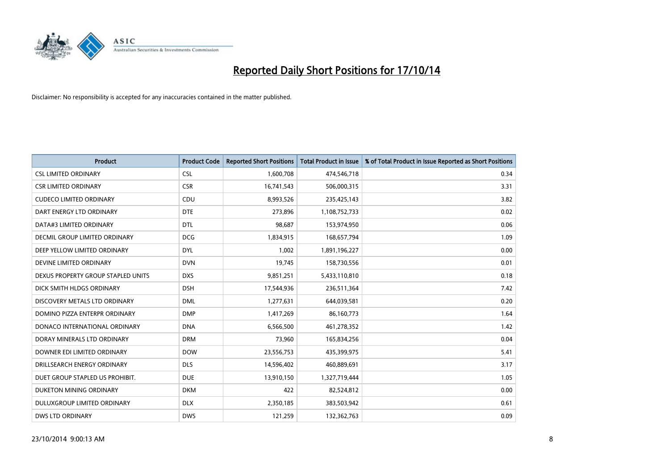

| <b>Product</b>                     | <b>Product Code</b> | <b>Reported Short Positions</b> | <b>Total Product in Issue</b> | % of Total Product in Issue Reported as Short Positions |
|------------------------------------|---------------------|---------------------------------|-------------------------------|---------------------------------------------------------|
| <b>CSL LIMITED ORDINARY</b>        | <b>CSL</b>          | 1,600,708                       | 474,546,718                   | 0.34                                                    |
| <b>CSR LIMITED ORDINARY</b>        | <b>CSR</b>          | 16,741,543                      | 506,000,315                   | 3.31                                                    |
| <b>CUDECO LIMITED ORDINARY</b>     | CDU                 | 8,993,526                       | 235,425,143                   | 3.82                                                    |
| DART ENERGY LTD ORDINARY           | <b>DTE</b>          | 273,896                         | 1,108,752,733                 | 0.02                                                    |
| DATA#3 LIMITED ORDINARY            | DTL                 | 98,687                          | 153,974,950                   | 0.06                                                    |
| DECMIL GROUP LIMITED ORDINARY      | <b>DCG</b>          | 1,834,915                       | 168,657,794                   | 1.09                                                    |
| DEEP YELLOW LIMITED ORDINARY       | <b>DYL</b>          | 1,002                           | 1,891,196,227                 | 0.00                                                    |
| DEVINE LIMITED ORDINARY            | <b>DVN</b>          | 19,745                          | 158,730,556                   | 0.01                                                    |
| DEXUS PROPERTY GROUP STAPLED UNITS | <b>DXS</b>          | 9,851,251                       | 5,433,110,810                 | 0.18                                                    |
| DICK SMITH HLDGS ORDINARY          | <b>DSH</b>          | 17,544,936                      | 236,511,364                   | 7.42                                                    |
| DISCOVERY METALS LTD ORDINARY      | <b>DML</b>          | 1,277,631                       | 644,039,581                   | 0.20                                                    |
| DOMINO PIZZA ENTERPR ORDINARY      | <b>DMP</b>          | 1,417,269                       | 86,160,773                    | 1.64                                                    |
| DONACO INTERNATIONAL ORDINARY      | <b>DNA</b>          | 6,566,500                       | 461,278,352                   | 1.42                                                    |
| DORAY MINERALS LTD ORDINARY        | <b>DRM</b>          | 73,960                          | 165,834,256                   | 0.04                                                    |
| DOWNER EDI LIMITED ORDINARY        | <b>DOW</b>          | 23,556,753                      | 435,399,975                   | 5.41                                                    |
| DRILLSEARCH ENERGY ORDINARY        | <b>DLS</b>          | 14,596,402                      | 460,889,691                   | 3.17                                                    |
| DUET GROUP STAPLED US PROHIBIT.    | <b>DUE</b>          | 13,910,150                      | 1,327,719,444                 | 1.05                                                    |
| DUKETON MINING ORDINARY            | <b>DKM</b>          | 422                             | 82,524,812                    | 0.00                                                    |
| DULUXGROUP LIMITED ORDINARY        | <b>DLX</b>          | 2,350,185                       | 383,503,942                   | 0.61                                                    |
| DWS LTD ORDINARY                   | <b>DWS</b>          | 121,259                         | 132,362,763                   | 0.09                                                    |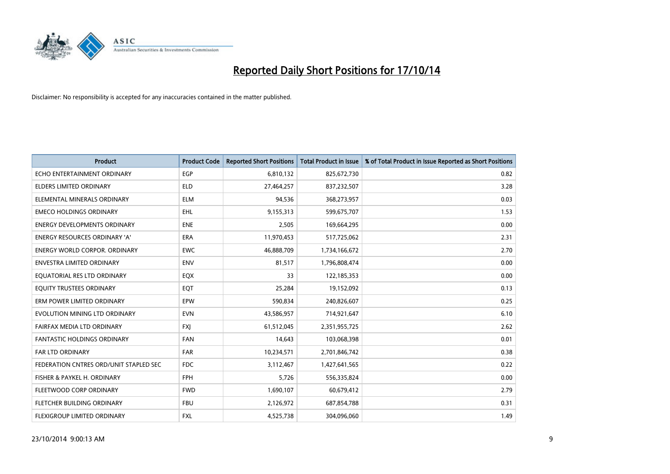

| <b>Product</b>                         | <b>Product Code</b> | <b>Reported Short Positions</b> | <b>Total Product in Issue</b> | % of Total Product in Issue Reported as Short Positions |
|----------------------------------------|---------------------|---------------------------------|-------------------------------|---------------------------------------------------------|
| ECHO ENTERTAINMENT ORDINARY            | <b>EGP</b>          | 6,810,132                       | 825,672,730                   | 0.82                                                    |
| ELDERS LIMITED ORDINARY                | <b>ELD</b>          | 27,464,257                      | 837,232,507                   | 3.28                                                    |
| ELEMENTAL MINERALS ORDINARY            | <b>ELM</b>          | 94,536                          | 368,273,957                   | 0.03                                                    |
| <b>EMECO HOLDINGS ORDINARY</b>         | <b>EHL</b>          | 9,155,313                       | 599,675,707                   | 1.53                                                    |
| <b>ENERGY DEVELOPMENTS ORDINARY</b>    | <b>ENE</b>          | 2,505                           | 169,664,295                   | 0.00                                                    |
| ENERGY RESOURCES ORDINARY 'A'          | <b>ERA</b>          | 11,970,453                      | 517,725,062                   | 2.31                                                    |
| ENERGY WORLD CORPOR. ORDINARY          | <b>EWC</b>          | 46,888,709                      | 1,734,166,672                 | 2.70                                                    |
| ENVESTRA LIMITED ORDINARY              | ENV                 | 81,517                          | 1,796,808,474                 | 0.00                                                    |
| EQUATORIAL RES LTD ORDINARY            | EQX                 | 33                              | 122,185,353                   | 0.00                                                    |
| EQUITY TRUSTEES ORDINARY               | EQT                 | 25,284                          | 19,152,092                    | 0.13                                                    |
| ERM POWER LIMITED ORDINARY             | <b>EPW</b>          | 590,834                         | 240,826,607                   | 0.25                                                    |
| EVOLUTION MINING LTD ORDINARY          | <b>EVN</b>          | 43,586,957                      | 714,921,647                   | 6.10                                                    |
| FAIRFAX MEDIA LTD ORDINARY             | <b>FXI</b>          | 61,512,045                      | 2,351,955,725                 | 2.62                                                    |
| <b>FANTASTIC HOLDINGS ORDINARY</b>     | <b>FAN</b>          | 14,643                          | 103,068,398                   | 0.01                                                    |
| FAR LTD ORDINARY                       | <b>FAR</b>          | 10,234,571                      | 2,701,846,742                 | 0.38                                                    |
| FEDERATION CNTRES ORD/UNIT STAPLED SEC | <b>FDC</b>          | 3,112,467                       | 1,427,641,565                 | 0.22                                                    |
| FISHER & PAYKEL H. ORDINARY            | FPH                 | 5,726                           | 556,335,824                   | 0.00                                                    |
| FLEETWOOD CORP ORDINARY                | <b>FWD</b>          | 1,690,107                       | 60,679,412                    | 2.79                                                    |
| FLETCHER BUILDING ORDINARY             | <b>FBU</b>          | 2,126,972                       | 687,854,788                   | 0.31                                                    |
| <b>FLEXIGROUP LIMITED ORDINARY</b>     | FXL                 | 4,525,738                       | 304,096,060                   | 1.49                                                    |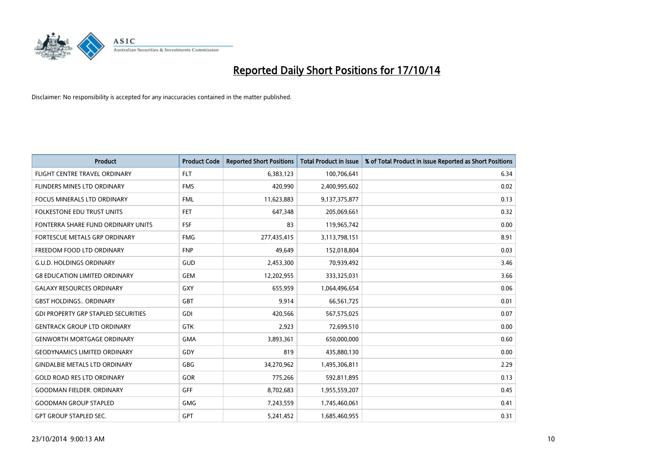

| <b>Product</b>                             | <b>Product Code</b> | <b>Reported Short Positions</b> | <b>Total Product in Issue</b> | % of Total Product in Issue Reported as Short Positions |
|--------------------------------------------|---------------------|---------------------------------|-------------------------------|---------------------------------------------------------|
| FLIGHT CENTRE TRAVEL ORDINARY              | <b>FLT</b>          | 6,383,123                       | 100,706,641                   | 6.34                                                    |
| FLINDERS MINES LTD ORDINARY                | <b>FMS</b>          | 420,990                         | 2,400,995,602                 | 0.02                                                    |
| <b>FOCUS MINERALS LTD ORDINARY</b>         | <b>FML</b>          | 11,623,883                      | 9,137,375,877                 | 0.13                                                    |
| FOLKESTONE EDU TRUST UNITS                 | <b>FET</b>          | 647,348                         | 205,069,661                   | 0.32                                                    |
| FONTERRA SHARE FUND ORDINARY UNITS         | <b>FSF</b>          | 83                              | 119,965,742                   | 0.00                                                    |
| FORTESCUE METALS GRP ORDINARY              | <b>FMG</b>          | 277,435,415                     | 3,113,798,151                 | 8.91                                                    |
| FREEDOM FOOD LTD ORDINARY                  | <b>FNP</b>          | 49.649                          | 152,018,804                   | 0.03                                                    |
| <b>G.U.D. HOLDINGS ORDINARY</b>            | GUD                 | 2,453,300                       | 70,939,492                    | 3.46                                                    |
| <b>G8 EDUCATION LIMITED ORDINARY</b>       | <b>GEM</b>          | 12,202,955                      | 333,325,031                   | 3.66                                                    |
| <b>GALAXY RESOURCES ORDINARY</b>           | <b>GXY</b>          | 655,959                         | 1,064,496,654                 | 0.06                                                    |
| <b>GBST HOLDINGS ORDINARY</b>              | GBT                 | 9,914                           | 66,561,725                    | 0.01                                                    |
| <b>GDI PROPERTY GRP STAPLED SECURITIES</b> | <b>GDI</b>          | 420,566                         | 567,575,025                   | 0.07                                                    |
| <b>GENTRACK GROUP LTD ORDINARY</b>         | GTK                 | 2,923                           | 72,699,510                    | 0.00                                                    |
| <b>GENWORTH MORTGAGE ORDINARY</b>          | <b>GMA</b>          | 3,893,361                       | 650,000,000                   | 0.60                                                    |
| <b>GEODYNAMICS LIMITED ORDINARY</b>        | GDY                 | 819                             | 435,880,130                   | 0.00                                                    |
| <b>GINDALBIE METALS LTD ORDINARY</b>       | GBG                 | 34,270,962                      | 1,495,306,811                 | 2.29                                                    |
| <b>GOLD ROAD RES LTD ORDINARY</b>          | GOR                 | 775,266                         | 592,811,895                   | 0.13                                                    |
| <b>GOODMAN FIELDER, ORDINARY</b>           | <b>GFF</b>          | 8,702,683                       | 1,955,559,207                 | 0.45                                                    |
| <b>GOODMAN GROUP STAPLED</b>               | <b>GMG</b>          | 7,243,559                       | 1,745,460,061                 | 0.41                                                    |
| <b>GPT GROUP STAPLED SEC.</b>              | GPT                 | 5,241,452                       | 1,685,460,955                 | 0.31                                                    |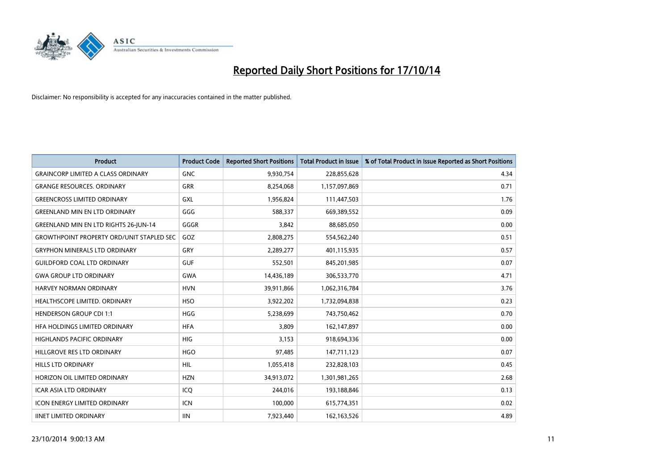

| Product                                          | <b>Product Code</b> | <b>Reported Short Positions</b> | <b>Total Product in Issue</b> | % of Total Product in Issue Reported as Short Positions |
|--------------------------------------------------|---------------------|---------------------------------|-------------------------------|---------------------------------------------------------|
| <b>GRAINCORP LIMITED A CLASS ORDINARY</b>        | <b>GNC</b>          | 9,930,754                       | 228,855,628                   | 4.34                                                    |
| <b>GRANGE RESOURCES. ORDINARY</b>                | GRR                 | 8,254,068                       | 1,157,097,869                 | 0.71                                                    |
| <b>GREENCROSS LIMITED ORDINARY</b>               | <b>GXL</b>          | 1,956,824                       | 111,447,503                   | 1.76                                                    |
| <b>GREENLAND MIN EN LTD ORDINARY</b>             | GGG                 | 588,337                         | 669,389,552                   | 0.09                                                    |
| <b>GREENLAND MIN EN LTD RIGHTS 26-JUN-14</b>     | GGGR                | 3,842                           | 88,685,050                    | 0.00                                                    |
| <b>GROWTHPOINT PROPERTY ORD/UNIT STAPLED SEC</b> | GOZ                 | 2,808,275                       | 554,562,240                   | 0.51                                                    |
| <b>GRYPHON MINERALS LTD ORDINARY</b>             | <b>GRY</b>          | 2,289,277                       | 401,115,935                   | 0.57                                                    |
| <b>GUILDFORD COAL LTD ORDINARY</b>               | <b>GUF</b>          | 552,501                         | 845,201,985                   | 0.07                                                    |
| <b>GWA GROUP LTD ORDINARY</b>                    | <b>GWA</b>          | 14,436,189                      | 306,533,770                   | 4.71                                                    |
| <b>HARVEY NORMAN ORDINARY</b>                    | <b>HVN</b>          | 39,911,866                      | 1,062,316,784                 | 3.76                                                    |
| HEALTHSCOPE LIMITED. ORDINARY                    | <b>HSO</b>          | 3,922,202                       | 1,732,094,838                 | 0.23                                                    |
| <b>HENDERSON GROUP CDI 1:1</b>                   | <b>HGG</b>          | 5,238,699                       | 743,750,462                   | 0.70                                                    |
| HFA HOLDINGS LIMITED ORDINARY                    | <b>HFA</b>          | 3,809                           | 162,147,897                   | 0.00                                                    |
| HIGHLANDS PACIFIC ORDINARY                       | HIG                 | 3,153                           | 918,694,336                   | 0.00                                                    |
| HILLGROVE RES LTD ORDINARY                       | <b>HGO</b>          | 97,485                          | 147,711,123                   | 0.07                                                    |
| HILLS LTD ORDINARY                               | <b>HIL</b>          | 1,055,418                       | 232,828,103                   | 0.45                                                    |
| HORIZON OIL LIMITED ORDINARY                     | <b>HZN</b>          | 34,913,072                      | 1,301,981,265                 | 2.68                                                    |
| <b>ICAR ASIA LTD ORDINARY</b>                    | ICQ                 | 244,016                         | 193,188,846                   | 0.13                                                    |
| <b>ICON ENERGY LIMITED ORDINARY</b>              | <b>ICN</b>          | 100,000                         | 615,774,351                   | 0.02                                                    |
| <b>IINET LIMITED ORDINARY</b>                    | <b>IIN</b>          | 7,923,440                       | 162, 163, 526                 | 4.89                                                    |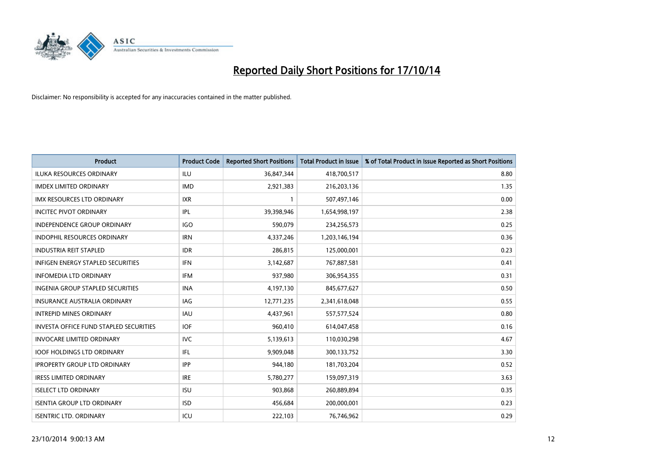

| <b>Product</b>                                | <b>Product Code</b> | <b>Reported Short Positions</b> | <b>Total Product in Issue</b> | % of Total Product in Issue Reported as Short Positions |
|-----------------------------------------------|---------------------|---------------------------------|-------------------------------|---------------------------------------------------------|
| <b>ILUKA RESOURCES ORDINARY</b>               | <b>ILU</b>          | 36,847,344                      | 418,700,517                   | 8.80                                                    |
| <b>IMDEX LIMITED ORDINARY</b>                 | <b>IMD</b>          | 2,921,383                       | 216,203,136                   | 1.35                                                    |
| <b>IMX RESOURCES LTD ORDINARY</b>             | <b>IXR</b>          | $\mathbf{1}$                    | 507,497,146                   | 0.00                                                    |
| <b>INCITEC PIVOT ORDINARY</b>                 | IPL                 | 39,398,946                      | 1,654,998,197                 | 2.38                                                    |
| <b>INDEPENDENCE GROUP ORDINARY</b>            | <b>IGO</b>          | 590,079                         | 234,256,573                   | 0.25                                                    |
| <b>INDOPHIL RESOURCES ORDINARY</b>            | <b>IRN</b>          | 4,337,246                       | 1,203,146,194                 | 0.36                                                    |
| <b>INDUSTRIA REIT STAPLED</b>                 | <b>IDR</b>          | 286,815                         | 125,000,001                   | 0.23                                                    |
| <b>INFIGEN ENERGY STAPLED SECURITIES</b>      | <b>IFN</b>          | 3,142,687                       | 767,887,581                   | 0.41                                                    |
| <b>INFOMEDIA LTD ORDINARY</b>                 | <b>IFM</b>          | 937,980                         | 306,954,355                   | 0.31                                                    |
| <b>INGENIA GROUP STAPLED SECURITIES</b>       | <b>INA</b>          | 4,197,130                       | 845,677,627                   | 0.50                                                    |
| INSURANCE AUSTRALIA ORDINARY                  | IAG                 | 12,771,235                      | 2,341,618,048                 | 0.55                                                    |
| <b>INTREPID MINES ORDINARY</b>                | <b>IAU</b>          | 4,437,961                       | 557,577,524                   | 0.80                                                    |
| <b>INVESTA OFFICE FUND STAPLED SECURITIES</b> | <b>IOF</b>          | 960,410                         | 614,047,458                   | 0.16                                                    |
| <b>INVOCARE LIMITED ORDINARY</b>              | <b>IVC</b>          | 5,139,613                       | 110,030,298                   | 4.67                                                    |
| <b>IOOF HOLDINGS LTD ORDINARY</b>             | IFL                 | 9,909,048                       | 300,133,752                   | 3.30                                                    |
| <b>IPROPERTY GROUP LTD ORDINARY</b>           | <b>IPP</b>          | 944,180                         | 181,703,204                   | 0.52                                                    |
| <b>IRESS LIMITED ORDINARY</b>                 | <b>IRE</b>          | 5,780,277                       | 159,097,319                   | 3.63                                                    |
| <b>ISELECT LTD ORDINARY</b>                   | <b>ISU</b>          | 903,868                         | 260,889,894                   | 0.35                                                    |
| <b>ISENTIA GROUP LTD ORDINARY</b>             | <b>ISD</b>          | 456,684                         | 200,000,001                   | 0.23                                                    |
| <b>ISENTRIC LTD. ORDINARY</b>                 | ICU                 | 222,103                         | 76,746,962                    | 0.29                                                    |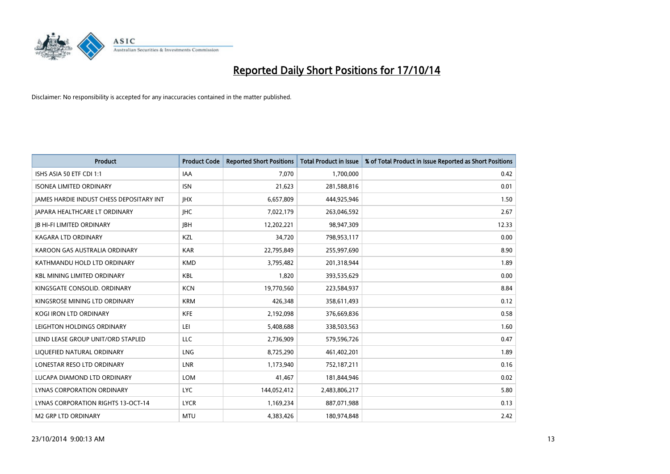

| Product                                   | <b>Product Code</b> | <b>Reported Short Positions</b> | <b>Total Product in Issue</b> | % of Total Product in Issue Reported as Short Positions |
|-------------------------------------------|---------------------|---------------------------------|-------------------------------|---------------------------------------------------------|
| ISHS ASIA 50 ETF CDI 1:1                  | <b>IAA</b>          | 7,070                           | 1,700,000                     | 0.42                                                    |
| <b>ISONEA LIMITED ORDINARY</b>            | <b>ISN</b>          | 21,623                          | 281,588,816                   | 0.01                                                    |
| JAMES HARDIE INDUST CHESS DEPOSITARY INT  | <b>IHX</b>          | 6,657,809                       | 444,925,946                   | 1.50                                                    |
| <b>JAPARA HEALTHCARE LT ORDINARY</b>      | <b>IHC</b>          | 7,022,179                       | 263,046,592                   | 2.67                                                    |
| <b>IB HI-FI LIMITED ORDINARY</b>          | <b>IBH</b>          | 12,202,221                      | 98,947,309                    | 12.33                                                   |
| <b>KAGARA LTD ORDINARY</b>                | KZL                 | 34,720                          | 798,953,117                   | 0.00                                                    |
| KAROON GAS AUSTRALIA ORDINARY             | <b>KAR</b>          | 22,795,849                      | 255,997,690                   | 8.90                                                    |
| KATHMANDU HOLD LTD ORDINARY               | <b>KMD</b>          | 3,795,482                       | 201,318,944                   | 1.89                                                    |
| <b>KBL MINING LIMITED ORDINARY</b>        | KBL                 | 1.820                           | 393,535,629                   | 0.00                                                    |
| KINGSGATE CONSOLID. ORDINARY              | <b>KCN</b>          | 19,770,560                      | 223,584,937                   | 8.84                                                    |
| KINGSROSE MINING LTD ORDINARY             | <b>KRM</b>          | 426,348                         | 358,611,493                   | 0.12                                                    |
| <b>KOGI IRON LTD ORDINARY</b>             | <b>KFE</b>          | 2,192,098                       | 376,669,836                   | 0.58                                                    |
| LEIGHTON HOLDINGS ORDINARY                | LEI                 | 5,408,688                       | 338,503,563                   | 1.60                                                    |
| LEND LEASE GROUP UNIT/ORD STAPLED         | LLC                 | 2,736,909                       | 579,596,726                   | 0.47                                                    |
| LIQUEFIED NATURAL ORDINARY                | <b>LNG</b>          | 8,725,290                       | 461,402,201                   | 1.89                                                    |
| LONESTAR RESO LTD ORDINARY                | <b>LNR</b>          | 1,173,940                       | 752,187,211                   | 0.16                                                    |
| LUCAPA DIAMOND LTD ORDINARY               | <b>LOM</b>          | 41,467                          | 181,844,946                   | 0.02                                                    |
| LYNAS CORPORATION ORDINARY                | <b>LYC</b>          | 144,052,412                     | 2,483,806,217                 | 5.80                                                    |
| <b>LYNAS CORPORATION RIGHTS 13-OCT-14</b> | <b>LYCR</b>         | 1,169,234                       | 887,071,988                   | 0.13                                                    |
| <b>M2 GRP LTD ORDINARY</b>                | <b>MTU</b>          | 4,383,426                       | 180,974,848                   | 2.42                                                    |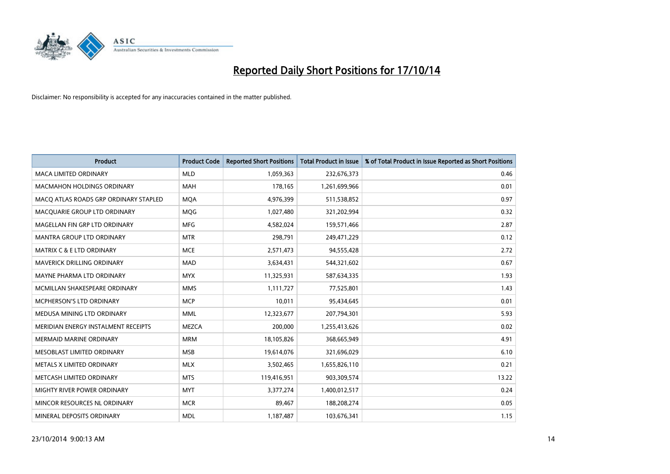

| <b>Product</b>                        | <b>Product Code</b> | <b>Reported Short Positions</b> | <b>Total Product in Issue</b> | % of Total Product in Issue Reported as Short Positions |
|---------------------------------------|---------------------|---------------------------------|-------------------------------|---------------------------------------------------------|
| <b>MACA LIMITED ORDINARY</b>          | <b>MLD</b>          | 1,059,363                       | 232,676,373                   | 0.46                                                    |
| <b>MACMAHON HOLDINGS ORDINARY</b>     | <b>MAH</b>          | 178,165                         | 1,261,699,966                 | 0.01                                                    |
| MACO ATLAS ROADS GRP ORDINARY STAPLED | <b>MQA</b>          | 4,976,399                       | 511,538,852                   | 0.97                                                    |
| MACQUARIE GROUP LTD ORDINARY          | <b>MOG</b>          | 1,027,480                       | 321,202,994                   | 0.32                                                    |
| MAGELLAN FIN GRP LTD ORDINARY         | <b>MFG</b>          | 4,582,024                       | 159,571,466                   | 2.87                                                    |
| <b>MANTRA GROUP LTD ORDINARY</b>      | <b>MTR</b>          | 298,791                         | 249,471,229                   | 0.12                                                    |
| <b>MATRIX C &amp; E LTD ORDINARY</b>  | <b>MCE</b>          | 2,571,473                       | 94,555,428                    | 2.72                                                    |
| <b>MAVERICK DRILLING ORDINARY</b>     | <b>MAD</b>          | 3,634,431                       | 544,321,602                   | 0.67                                                    |
| MAYNE PHARMA LTD ORDINARY             | <b>MYX</b>          | 11,325,931                      | 587,634,335                   | 1.93                                                    |
| MCMILLAN SHAKESPEARE ORDINARY         | <b>MMS</b>          | 1,111,727                       | 77,525,801                    | 1.43                                                    |
| MCPHERSON'S LTD ORDINARY              | <b>MCP</b>          | 10,011                          | 95,434,645                    | 0.01                                                    |
| MEDUSA MINING LTD ORDINARY            | <b>MML</b>          | 12,323,677                      | 207,794,301                   | 5.93                                                    |
| MERIDIAN ENERGY INSTALMENT RECEIPTS   | <b>MEZCA</b>        | 200,000                         | 1,255,413,626                 | 0.02                                                    |
| <b>MERMAID MARINE ORDINARY</b>        | <b>MRM</b>          | 18,105,826                      | 368,665,949                   | 4.91                                                    |
| MESOBLAST LIMITED ORDINARY            | <b>MSB</b>          | 19,614,076                      | 321,696,029                   | 6.10                                                    |
| METALS X LIMITED ORDINARY             | <b>MLX</b>          | 3,502,465                       | 1,655,826,110                 | 0.21                                                    |
| METCASH LIMITED ORDINARY              | <b>MTS</b>          | 119,416,951                     | 903,309,574                   | 13.22                                                   |
| MIGHTY RIVER POWER ORDINARY           | <b>MYT</b>          | 3,377,274                       | 1,400,012,517                 | 0.24                                                    |
| MINCOR RESOURCES NL ORDINARY          | <b>MCR</b>          | 89,467                          | 188,208,274                   | 0.05                                                    |
| MINERAL DEPOSITS ORDINARY             | <b>MDL</b>          | 1,187,487                       | 103,676,341                   | 1.15                                                    |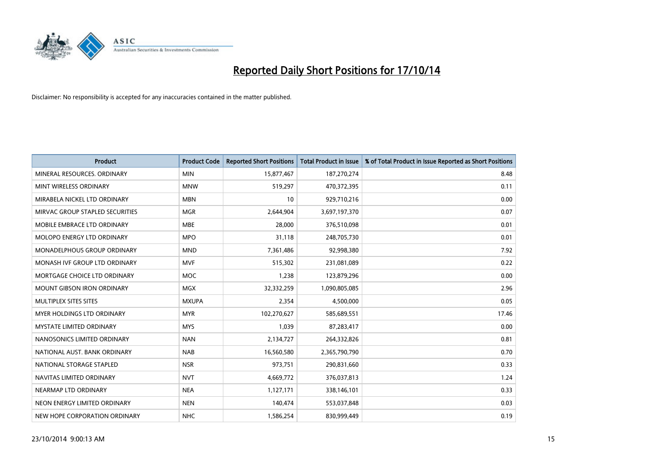

| Product                           | <b>Product Code</b> | <b>Reported Short Positions</b> | <b>Total Product in Issue</b> | % of Total Product in Issue Reported as Short Positions |
|-----------------------------------|---------------------|---------------------------------|-------------------------------|---------------------------------------------------------|
| MINERAL RESOURCES, ORDINARY       | <b>MIN</b>          | 15,877,467                      | 187,270,274                   | 8.48                                                    |
| MINT WIRELESS ORDINARY            | <b>MNW</b>          | 519,297                         | 470,372,395                   | 0.11                                                    |
| MIRABELA NICKEL LTD ORDINARY      | <b>MBN</b>          | 10                              | 929,710,216                   | 0.00                                                    |
| MIRVAC GROUP STAPLED SECURITIES   | <b>MGR</b>          | 2,644,904                       | 3,697,197,370                 | 0.07                                                    |
| MOBILE EMBRACE LTD ORDINARY       | <b>MBE</b>          | 28,000                          | 376,510,098                   | 0.01                                                    |
| MOLOPO ENERGY LTD ORDINARY        | <b>MPO</b>          | 31,118                          | 248,705,730                   | 0.01                                                    |
| MONADELPHOUS GROUP ORDINARY       | <b>MND</b>          | 7,361,486                       | 92,998,380                    | 7.92                                                    |
| MONASH IVF GROUP LTD ORDINARY     | <b>MVF</b>          | 515,302                         | 231,081,089                   | 0.22                                                    |
| MORTGAGE CHOICE LTD ORDINARY      | <b>MOC</b>          | 1,238                           | 123,879,296                   | 0.00                                                    |
| <b>MOUNT GIBSON IRON ORDINARY</b> | <b>MGX</b>          | 32,332,259                      | 1,090,805,085                 | 2.96                                                    |
| MULTIPLEX SITES SITES             | <b>MXUPA</b>        | 2,354                           | 4,500,000                     | 0.05                                                    |
| MYER HOLDINGS LTD ORDINARY        | <b>MYR</b>          | 102,270,627                     | 585,689,551                   | 17.46                                                   |
| <b>MYSTATE LIMITED ORDINARY</b>   | <b>MYS</b>          | 1,039                           | 87,283,417                    | 0.00                                                    |
| NANOSONICS LIMITED ORDINARY       | <b>NAN</b>          | 2,134,727                       | 264,332,826                   | 0.81                                                    |
| NATIONAL AUST, BANK ORDINARY      | <b>NAB</b>          | 16,560,580                      | 2,365,790,790                 | 0.70                                                    |
| NATIONAL STORAGE STAPLED          | <b>NSR</b>          | 973,751                         | 290,831,660                   | 0.33                                                    |
| NAVITAS LIMITED ORDINARY          | <b>NVT</b>          | 4,669,772                       | 376,037,813                   | 1.24                                                    |
| NEARMAP LTD ORDINARY              | <b>NEA</b>          | 1,127,171                       | 338,146,101                   | 0.33                                                    |
| NEON ENERGY LIMITED ORDINARY      | <b>NEN</b>          | 140,474                         | 553,037,848                   | 0.03                                                    |
| NEW HOPE CORPORATION ORDINARY     | <b>NHC</b>          | 1,586,254                       | 830,999,449                   | 0.19                                                    |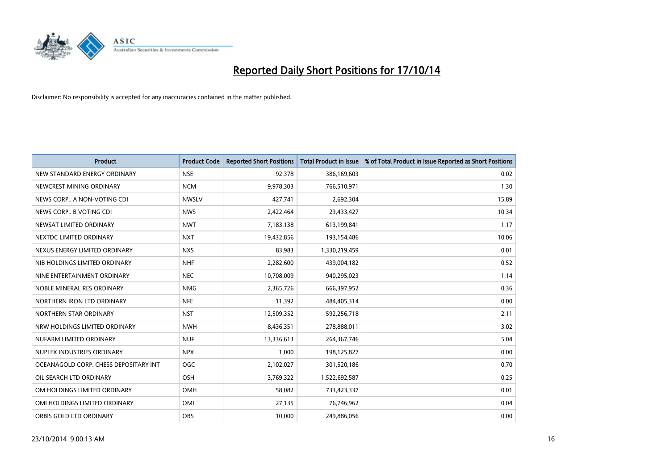

| <b>Product</b>                        | <b>Product Code</b> | <b>Reported Short Positions</b> | <b>Total Product in Issue</b> | % of Total Product in Issue Reported as Short Positions |
|---------------------------------------|---------------------|---------------------------------|-------------------------------|---------------------------------------------------------|
| NEW STANDARD ENERGY ORDINARY          | <b>NSE</b>          | 92,378                          | 386,169,603                   | 0.02                                                    |
| NEWCREST MINING ORDINARY              | <b>NCM</b>          | 9,978,303                       | 766,510,971                   | 1.30                                                    |
| NEWS CORP A NON-VOTING CDI            | <b>NWSLV</b>        | 427,741                         | 2,692,304                     | 15.89                                                   |
| NEWS CORP B VOTING CDI                | <b>NWS</b>          | 2,422,464                       | 23,433,427                    | 10.34                                                   |
| NEWSAT LIMITED ORDINARY               | <b>NWT</b>          | 7,183,138                       | 613,199,841                   | 1.17                                                    |
| NEXTDC LIMITED ORDINARY               | <b>NXT</b>          | 19,432,856                      | 193,154,486                   | 10.06                                                   |
| NEXUS ENERGY LIMITED ORDINARY         | <b>NXS</b>          | 83,983                          | 1,330,219,459                 | 0.01                                                    |
| NIB HOLDINGS LIMITED ORDINARY         | <b>NHF</b>          | 2,282,600                       | 439,004,182                   | 0.52                                                    |
| NINE ENTERTAINMENT ORDINARY           | <b>NEC</b>          | 10,708,009                      | 940,295,023                   | 1.14                                                    |
| NOBLE MINERAL RES ORDINARY            | <b>NMG</b>          | 2,365,726                       | 666,397,952                   | 0.36                                                    |
| NORTHERN IRON LTD ORDINARY            | <b>NFE</b>          | 11,392                          | 484,405,314                   | 0.00                                                    |
| NORTHERN STAR ORDINARY                | <b>NST</b>          | 12,509,352                      | 592,256,718                   | 2.11                                                    |
| NRW HOLDINGS LIMITED ORDINARY         | <b>NWH</b>          | 8,436,351                       | 278,888,011                   | 3.02                                                    |
| NUFARM LIMITED ORDINARY               | <b>NUF</b>          | 13,336,613                      | 264, 367, 746                 | 5.04                                                    |
| NUPLEX INDUSTRIES ORDINARY            | <b>NPX</b>          | 1,000                           | 198,125,827                   | 0.00                                                    |
| OCEANAGOLD CORP. CHESS DEPOSITARY INT | <b>OGC</b>          | 2,102,027                       | 301,520,186                   | 0.70                                                    |
| OIL SEARCH LTD ORDINARY               | OSH                 | 3,769,322                       | 1,522,692,587                 | 0.25                                                    |
| OM HOLDINGS LIMITED ORDINARY          | OMH                 | 58,082                          | 733,423,337                   | 0.01                                                    |
| OMI HOLDINGS LIMITED ORDINARY         | OMI                 | 27,135                          | 76,746,962                    | 0.04                                                    |
| ORBIS GOLD LTD ORDINARY               | <b>OBS</b>          | 10,000                          | 249,886,056                   | 0.00                                                    |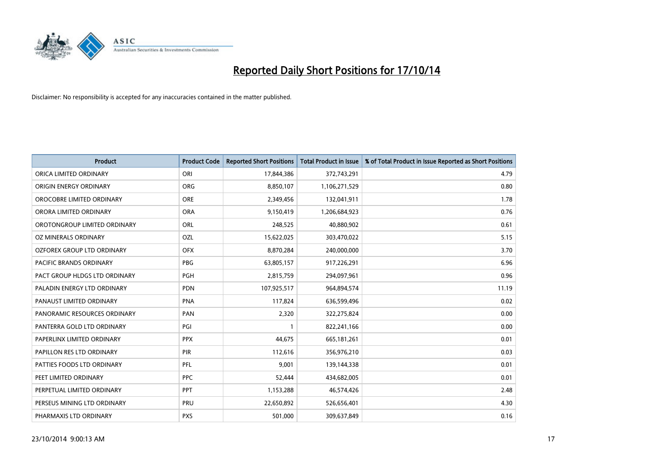

| <b>Product</b>                | <b>Product Code</b> | <b>Reported Short Positions</b> | <b>Total Product in Issue</b> | % of Total Product in Issue Reported as Short Positions |
|-------------------------------|---------------------|---------------------------------|-------------------------------|---------------------------------------------------------|
| ORICA LIMITED ORDINARY        | ORI                 | 17,844,386                      | 372,743,291                   | 4.79                                                    |
| ORIGIN ENERGY ORDINARY        | <b>ORG</b>          | 8,850,107                       | 1,106,271,529                 | 0.80                                                    |
| OROCOBRE LIMITED ORDINARY     | <b>ORE</b>          | 2,349,456                       | 132,041,911                   | 1.78                                                    |
| ORORA LIMITED ORDINARY        | <b>ORA</b>          | 9,150,419                       | 1,206,684,923                 | 0.76                                                    |
| OROTONGROUP LIMITED ORDINARY  | ORL                 | 248,525                         | 40,880,902                    | 0.61                                                    |
| OZ MINERALS ORDINARY          | OZL                 | 15,622,025                      | 303,470,022                   | 5.15                                                    |
| OZFOREX GROUP LTD ORDINARY    | <b>OFX</b>          | 8,870,284                       | 240,000,000                   | 3.70                                                    |
| PACIFIC BRANDS ORDINARY       | <b>PBG</b>          | 63,805,157                      | 917,226,291                   | 6.96                                                    |
| PACT GROUP HLDGS LTD ORDINARY | <b>PGH</b>          | 2,815,759                       | 294,097,961                   | 0.96                                                    |
| PALADIN ENERGY LTD ORDINARY   | <b>PDN</b>          | 107,925,517                     | 964,894,574                   | 11.19                                                   |
| PANAUST LIMITED ORDINARY      | <b>PNA</b>          | 117,824                         | 636,599,496                   | 0.02                                                    |
| PANORAMIC RESOURCES ORDINARY  | PAN                 | 2,320                           | 322,275,824                   | 0.00                                                    |
| PANTERRA GOLD LTD ORDINARY    | PGI                 | $\mathbf{1}$                    | 822,241,166                   | 0.00                                                    |
| PAPERLINX LIMITED ORDINARY    | <b>PPX</b>          | 44,675                          | 665, 181, 261                 | 0.01                                                    |
| PAPILLON RES LTD ORDINARY     | PIR                 | 112,616                         | 356,976,210                   | 0.03                                                    |
| PATTIES FOODS LTD ORDINARY    | PFL                 | 9,001                           | 139,144,338                   | 0.01                                                    |
| PEET LIMITED ORDINARY         | <b>PPC</b>          | 52,444                          | 434,682,005                   | 0.01                                                    |
| PERPETUAL LIMITED ORDINARY    | PPT                 | 1,153,288                       | 46,574,426                    | 2.48                                                    |
| PERSEUS MINING LTD ORDINARY   | PRU                 | 22,650,892                      | 526,656,401                   | 4.30                                                    |
| PHARMAXIS LTD ORDINARY        | <b>PXS</b>          | 501,000                         | 309,637,849                   | 0.16                                                    |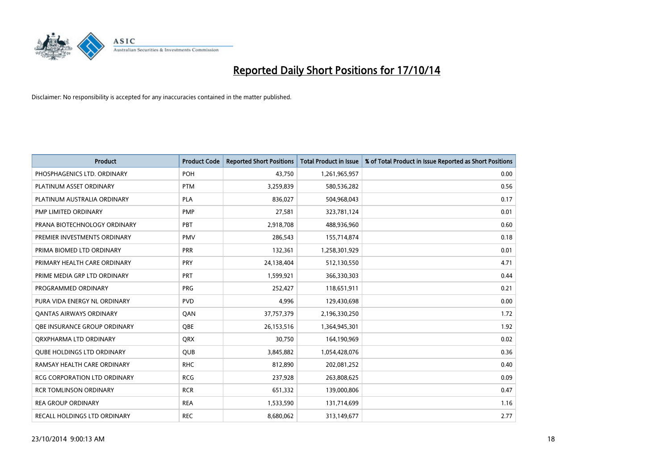

| <b>Product</b>                    | <b>Product Code</b> | <b>Reported Short Positions</b> | Total Product in Issue | % of Total Product in Issue Reported as Short Positions |
|-----------------------------------|---------------------|---------------------------------|------------------------|---------------------------------------------------------|
| PHOSPHAGENICS LTD. ORDINARY       | POH                 | 43.750                          | 1,261,965,957          | 0.00                                                    |
| PLATINUM ASSET ORDINARY           | <b>PTM</b>          | 3,259,839                       | 580,536,282            | 0.56                                                    |
| PLATINUM AUSTRALIA ORDINARY       | <b>PLA</b>          | 836,027                         | 504,968,043            | 0.17                                                    |
| PMP LIMITED ORDINARY              | <b>PMP</b>          | 27,581                          | 323,781,124            | 0.01                                                    |
| PRANA BIOTECHNOLOGY ORDINARY      | PBT                 | 2,918,708                       | 488,936,960            | 0.60                                                    |
| PREMIER INVESTMENTS ORDINARY      | <b>PMV</b>          | 286,543                         | 155,714,874            | 0.18                                                    |
| PRIMA BIOMED LTD ORDINARY         | <b>PRR</b>          | 132,361                         | 1,258,301,929          | 0.01                                                    |
| PRIMARY HEALTH CARE ORDINARY      | <b>PRY</b>          | 24,138,404                      | 512,130,550            | 4.71                                                    |
| PRIME MEDIA GRP LTD ORDINARY      | <b>PRT</b>          | 1,599,921                       | 366,330,303            | 0.44                                                    |
| PROGRAMMED ORDINARY               | <b>PRG</b>          | 252,427                         | 118,651,911            | 0.21                                                    |
| PURA VIDA ENERGY NL ORDINARY      | <b>PVD</b>          | 4,996                           | 129,430,698            | 0.00                                                    |
| <b>QANTAS AIRWAYS ORDINARY</b>    | QAN                 | 37,757,379                      | 2,196,330,250          | 1.72                                                    |
| OBE INSURANCE GROUP ORDINARY      | <b>OBE</b>          | 26,153,516                      | 1,364,945,301          | 1.92                                                    |
| ORXPHARMA LTD ORDINARY            | <b>QRX</b>          | 30,750                          | 164,190,969            | 0.02                                                    |
| <b>QUBE HOLDINGS LTD ORDINARY</b> | <b>QUB</b>          | 3,845,882                       | 1,054,428,076          | 0.36                                                    |
| RAMSAY HEALTH CARE ORDINARY       | <b>RHC</b>          | 812,890                         | 202,081,252            | 0.40                                                    |
| RCG CORPORATION LTD ORDINARY      | <b>RCG</b>          | 237,928                         | 263,808,625            | 0.09                                                    |
| <b>RCR TOMLINSON ORDINARY</b>     | <b>RCR</b>          | 651,332                         | 139,000,806            | 0.47                                                    |
| <b>REA GROUP ORDINARY</b>         | <b>REA</b>          | 1,533,590                       | 131,714,699            | 1.16                                                    |
| RECALL HOLDINGS LTD ORDINARY      | <b>REC</b>          | 8,680,062                       | 313,149,677            | 2.77                                                    |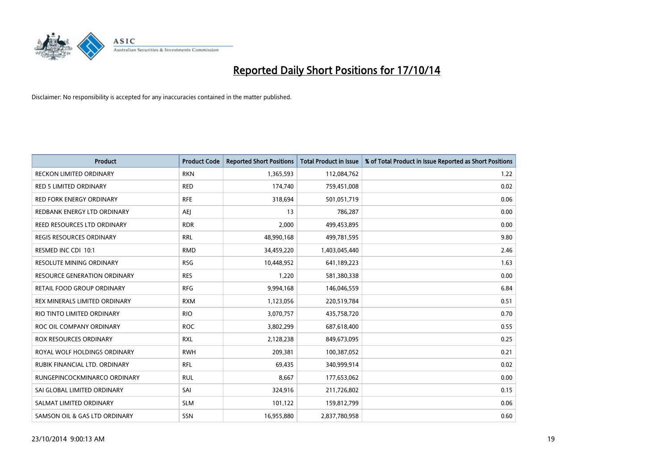

| <b>Product</b>                  | <b>Product Code</b> | <b>Reported Short Positions</b> | <b>Total Product in Issue</b> | % of Total Product in Issue Reported as Short Positions |
|---------------------------------|---------------------|---------------------------------|-------------------------------|---------------------------------------------------------|
| <b>RECKON LIMITED ORDINARY</b>  | <b>RKN</b>          | 1,365,593                       | 112,084,762                   | 1.22                                                    |
| RED 5 LIMITED ORDINARY          | <b>RED</b>          | 174,740                         | 759,451,008                   | 0.02                                                    |
| <b>RED FORK ENERGY ORDINARY</b> | <b>RFE</b>          | 318,694                         | 501,051,719                   | 0.06                                                    |
| REDBANK ENERGY LTD ORDINARY     | <b>AEI</b>          | 13                              | 786,287                       | 0.00                                                    |
| REED RESOURCES LTD ORDINARY     | <b>RDR</b>          | 2,000                           | 499,453,895                   | 0.00                                                    |
| <b>REGIS RESOURCES ORDINARY</b> | <b>RRL</b>          | 48,990,168                      | 499,781,595                   | 9.80                                                    |
| RESMED INC CDI 10:1             | <b>RMD</b>          | 34,459,220                      | 1,403,045,440                 | 2.46                                                    |
| RESOLUTE MINING ORDINARY        | <b>RSG</b>          | 10,448,952                      | 641,189,223                   | 1.63                                                    |
| RESOURCE GENERATION ORDINARY    | <b>RES</b>          | 1,220                           | 581,380,338                   | 0.00                                                    |
| RETAIL FOOD GROUP ORDINARY      | <b>RFG</b>          | 9,994,168                       | 146,046,559                   | 6.84                                                    |
| REX MINERALS LIMITED ORDINARY   | <b>RXM</b>          | 1,123,056                       | 220,519,784                   | 0.51                                                    |
| RIO TINTO LIMITED ORDINARY      | <b>RIO</b>          | 3,070,757                       | 435,758,720                   | 0.70                                                    |
| ROC OIL COMPANY ORDINARY        | <b>ROC</b>          | 3,802,299                       | 687,618,400                   | 0.55                                                    |
| <b>ROX RESOURCES ORDINARY</b>   | <b>RXL</b>          | 2,128,238                       | 849,673,095                   | 0.25                                                    |
| ROYAL WOLF HOLDINGS ORDINARY    | <b>RWH</b>          | 209,381                         | 100,387,052                   | 0.21                                                    |
| RUBIK FINANCIAL LTD. ORDINARY   | RFL                 | 69,435                          | 340,999,914                   | 0.02                                                    |
| RUNGEPINCOCKMINARCO ORDINARY    | <b>RUL</b>          | 8,667                           | 177,653,062                   | 0.00                                                    |
| SAI GLOBAL LIMITED ORDINARY     | SAI                 | 324,916                         | 211,726,802                   | 0.15                                                    |
| SALMAT LIMITED ORDINARY         | <b>SLM</b>          | 101,122                         | 159,812,799                   | 0.06                                                    |
| SAMSON OIL & GAS LTD ORDINARY   | SSN                 | 16,955,880                      | 2,837,780,958                 | 0.60                                                    |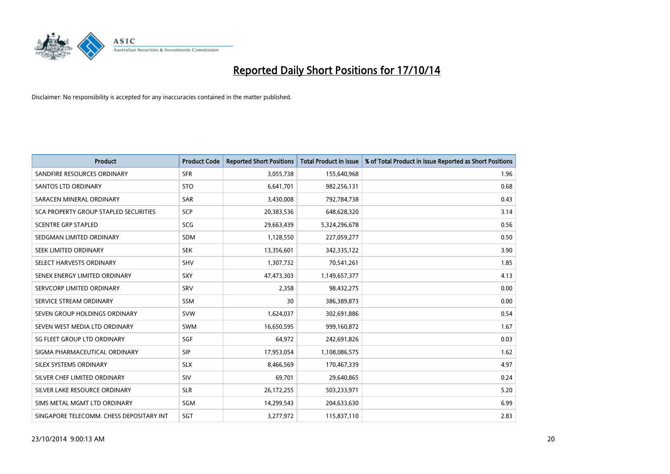

| <b>Product</b>                           | <b>Product Code</b> | <b>Reported Short Positions</b> | <b>Total Product in Issue</b> | % of Total Product in Issue Reported as Short Positions |
|------------------------------------------|---------------------|---------------------------------|-------------------------------|---------------------------------------------------------|
| SANDFIRE RESOURCES ORDINARY              | <b>SFR</b>          | 3,055,738                       | 155,640,968                   | 1.96                                                    |
| SANTOS LTD ORDINARY                      | <b>STO</b>          | 6,641,701                       | 982,256,131                   | 0.68                                                    |
| SARACEN MINERAL ORDINARY                 | <b>SAR</b>          | 3,430,008                       | 792,784,738                   | 0.43                                                    |
| SCA PROPERTY GROUP STAPLED SECURITIES    | SCP                 | 20,383,536                      | 648,628,320                   | 3.14                                                    |
| <b>SCENTRE GRP STAPLED</b>               | <b>SCG</b>          | 29,663,439                      | 5,324,296,678                 | 0.56                                                    |
| SEDGMAN LIMITED ORDINARY                 | <b>SDM</b>          | 1,128,550                       | 227,059,277                   | 0.50                                                    |
| SEEK LIMITED ORDINARY                    | <b>SEK</b>          | 13,356,601                      | 342,335,122                   | 3.90                                                    |
| SELECT HARVESTS ORDINARY                 | <b>SHV</b>          | 1,307,732                       | 70,541,261                    | 1.85                                                    |
| SENEX ENERGY LIMITED ORDINARY            | <b>SXY</b>          | 47,473,303                      | 1,149,657,377                 | 4.13                                                    |
| SERVCORP LIMITED ORDINARY                | SRV                 | 2,358                           | 98,432,275                    | 0.00                                                    |
| SERVICE STREAM ORDINARY                  | <b>SSM</b>          | 30                              | 386,389,873                   | 0.00                                                    |
| SEVEN GROUP HOLDINGS ORDINARY            | <b>SVW</b>          | 1,624,037                       | 302,691,886                   | 0.54                                                    |
| SEVEN WEST MEDIA LTD ORDINARY            | <b>SWM</b>          | 16,650,595                      | 999,160,872                   | 1.67                                                    |
| SG FLEET GROUP LTD ORDINARY              | SGF                 | 64,972                          | 242,691,826                   | 0.03                                                    |
| SIGMA PHARMACEUTICAL ORDINARY            | <b>SIP</b>          | 17,953,054                      | 1,108,086,575                 | 1.62                                                    |
| SILEX SYSTEMS ORDINARY                   | <b>SLX</b>          | 8,466,569                       | 170,467,339                   | 4.97                                                    |
| SILVER CHEF LIMITED ORDINARY             | SIV                 | 69,701                          | 29,640,865                    | 0.24                                                    |
| SILVER LAKE RESOURCE ORDINARY            | <b>SLR</b>          | 26,172,255                      | 503,233,971                   | 5.20                                                    |
| SIMS METAL MGMT LTD ORDINARY             | SGM                 | 14,299,543                      | 204,633,630                   | 6.99                                                    |
| SINGAPORE TELECOMM. CHESS DEPOSITARY INT | SGT                 | 3,277,972                       | 115,837,110                   | 2.83                                                    |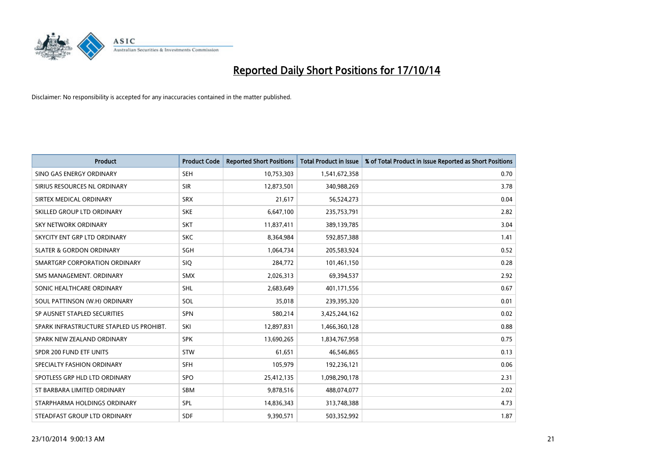

| <b>Product</b>                           | <b>Product Code</b> | <b>Reported Short Positions</b> | <b>Total Product in Issue</b> | % of Total Product in Issue Reported as Short Positions |
|------------------------------------------|---------------------|---------------------------------|-------------------------------|---------------------------------------------------------|
| SINO GAS ENERGY ORDINARY                 | <b>SEH</b>          | 10,753,303                      | 1,541,672,358                 | 0.70                                                    |
| SIRIUS RESOURCES NL ORDINARY             | <b>SIR</b>          | 12,873,501                      | 340,988,269                   | 3.78                                                    |
| SIRTEX MEDICAL ORDINARY                  | <b>SRX</b>          | 21,617                          | 56,524,273                    | 0.04                                                    |
| SKILLED GROUP LTD ORDINARY               | <b>SKE</b>          | 6,647,100                       | 235,753,791                   | 2.82                                                    |
| <b>SKY NETWORK ORDINARY</b>              | <b>SKT</b>          | 11,837,411                      | 389,139,785                   | 3.04                                                    |
| SKYCITY ENT GRP LTD ORDINARY             | <b>SKC</b>          | 8,364,984                       | 592,857,388                   | 1.41                                                    |
| <b>SLATER &amp; GORDON ORDINARY</b>      | SGH                 | 1,064,734                       | 205,583,924                   | 0.52                                                    |
| SMARTGRP CORPORATION ORDINARY            | <b>SIQ</b>          | 284,772                         | 101,461,150                   | 0.28                                                    |
| SMS MANAGEMENT. ORDINARY                 | <b>SMX</b>          | 2,026,313                       | 69,394,537                    | 2.92                                                    |
| SONIC HEALTHCARE ORDINARY                | <b>SHL</b>          | 2,683,649                       | 401,171,556                   | 0.67                                                    |
| SOUL PATTINSON (W.H) ORDINARY            | SOL                 | 35,018                          | 239,395,320                   | 0.01                                                    |
| SP AUSNET STAPLED SECURITIES             | <b>SPN</b>          | 580,214                         | 3,425,244,162                 | 0.02                                                    |
| SPARK INFRASTRUCTURE STAPLED US PROHIBT. | SKI                 | 12,897,831                      | 1,466,360,128                 | 0.88                                                    |
| SPARK NEW ZEALAND ORDINARY               | <b>SPK</b>          | 13,690,265                      | 1,834,767,958                 | 0.75                                                    |
| SPDR 200 FUND ETF UNITS                  | <b>STW</b>          | 61,651                          | 46,546,865                    | 0.13                                                    |
| SPECIALTY FASHION ORDINARY               | <b>SFH</b>          | 105,979                         | 192,236,121                   | 0.06                                                    |
| SPOTLESS GRP HLD LTD ORDINARY            | <b>SPO</b>          | 25,412,135                      | 1,098,290,178                 | 2.31                                                    |
| ST BARBARA LIMITED ORDINARY              | <b>SBM</b>          | 9,878,516                       | 488,074,077                   | 2.02                                                    |
| STARPHARMA HOLDINGS ORDINARY             | SPL                 | 14,836,343                      | 313,748,388                   | 4.73                                                    |
| STEADFAST GROUP LTD ORDINARY             | <b>SDF</b>          | 9,390,571                       | 503,352,992                   | 1.87                                                    |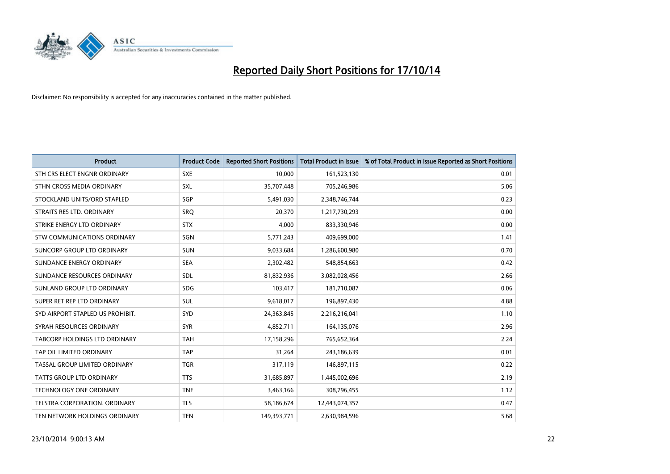

| <b>Product</b>                       | <b>Product Code</b> | <b>Reported Short Positions</b> | <b>Total Product in Issue</b> | % of Total Product in Issue Reported as Short Positions |
|--------------------------------------|---------------------|---------------------------------|-------------------------------|---------------------------------------------------------|
| STH CRS ELECT ENGNR ORDINARY         | <b>SXE</b>          | 10,000                          | 161,523,130                   | 0.01                                                    |
| STHN CROSS MEDIA ORDINARY            | <b>SXL</b>          | 35,707,448                      | 705,246,986                   | 5.06                                                    |
| STOCKLAND UNITS/ORD STAPLED          | SGP                 | 5,491,030                       | 2,348,746,744                 | 0.23                                                    |
| STRAITS RES LTD. ORDINARY            | <b>SRQ</b>          | 20,370                          | 1,217,730,293                 | 0.00                                                    |
| STRIKE ENERGY LTD ORDINARY           | <b>STX</b>          | 4,000                           | 833,330,946                   | 0.00                                                    |
| STW COMMUNICATIONS ORDINARY          | SGN                 | 5,771,243                       | 409,699,000                   | 1.41                                                    |
| SUNCORP GROUP LTD ORDINARY           | <b>SUN</b>          | 9,033,684                       | 1,286,600,980                 | 0.70                                                    |
| SUNDANCE ENERGY ORDINARY             | <b>SEA</b>          | 2,302,482                       | 548,854,663                   | 0.42                                                    |
| SUNDANCE RESOURCES ORDINARY          | SDL                 | 81,832,936                      | 3,082,028,456                 | 2.66                                                    |
| SUNLAND GROUP LTD ORDINARY           | <b>SDG</b>          | 103,417                         | 181,710,087                   | 0.06                                                    |
| SUPER RET REP LTD ORDINARY           | SUL                 | 9,618,017                       | 196,897,430                   | 4.88                                                    |
| SYD AIRPORT STAPLED US PROHIBIT.     | <b>SYD</b>          | 24,363,845                      | 2,216,216,041                 | 1.10                                                    |
| SYRAH RESOURCES ORDINARY             | <b>SYR</b>          | 4,852,711                       | 164,135,076                   | 2.96                                                    |
| <b>TABCORP HOLDINGS LTD ORDINARY</b> | <b>TAH</b>          | 17,158,296                      | 765,652,364                   | 2.24                                                    |
| TAP OIL LIMITED ORDINARY             | <b>TAP</b>          | 31,264                          | 243,186,639                   | 0.01                                                    |
| TASSAL GROUP LIMITED ORDINARY        | <b>TGR</b>          | 317,119                         | 146,897,115                   | 0.22                                                    |
| TATTS GROUP LTD ORDINARY             | <b>TTS</b>          | 31,685,897                      | 1,445,002,696                 | 2.19                                                    |
| <b>TECHNOLOGY ONE ORDINARY</b>       | <b>TNE</b>          | 3,463,166                       | 308,796,455                   | 1.12                                                    |
| TELSTRA CORPORATION, ORDINARY        | <b>TLS</b>          | 58,186,674                      | 12,443,074,357                | 0.47                                                    |
| TEN NETWORK HOLDINGS ORDINARY        | <b>TEN</b>          | 149,393,771                     | 2,630,984,596                 | 5.68                                                    |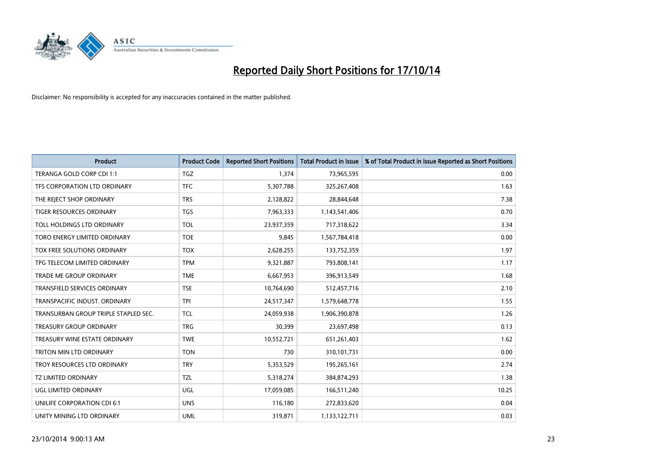

| <b>Product</b>                       | <b>Product Code</b> | <b>Reported Short Positions</b> | <b>Total Product in Issue</b> | % of Total Product in Issue Reported as Short Positions |
|--------------------------------------|---------------------|---------------------------------|-------------------------------|---------------------------------------------------------|
| TERANGA GOLD CORP CDI 1:1            | <b>TGZ</b>          | 1,374                           | 73,965,595                    | 0.00                                                    |
| TFS CORPORATION LTD ORDINARY         | <b>TFC</b>          | 5,307,788                       | 325,267,408                   | 1.63                                                    |
| THE REJECT SHOP ORDINARY             | <b>TRS</b>          | 2,128,822                       | 28,844,648                    | 7.38                                                    |
| TIGER RESOURCES ORDINARY             | <b>TGS</b>          | 7,963,333                       | 1,143,541,406                 | 0.70                                                    |
| TOLL HOLDINGS LTD ORDINARY           | <b>TOL</b>          | 23,937,359                      | 717,318,622                   | 3.34                                                    |
| TORO ENERGY LIMITED ORDINARY         | <b>TOE</b>          | 9,845                           | 1,567,784,418                 | 0.00                                                    |
| TOX FREE SOLUTIONS ORDINARY          | <b>TOX</b>          | 2,628,255                       | 133,752,359                   | 1.97                                                    |
| TPG TELECOM LIMITED ORDINARY         | <b>TPM</b>          | 9,321,887                       | 793,808,141                   | 1.17                                                    |
| <b>TRADE ME GROUP ORDINARY</b>       | <b>TME</b>          | 6,667,953                       | 396,913,549                   | 1.68                                                    |
| <b>TRANSFIELD SERVICES ORDINARY</b>  | <b>TSE</b>          | 10,764,690                      | 512,457,716                   | 2.10                                                    |
| TRANSPACIFIC INDUST, ORDINARY        | <b>TPI</b>          | 24,517,347                      | 1,579,648,778                 | 1.55                                                    |
| TRANSURBAN GROUP TRIPLE STAPLED SEC. | <b>TCL</b>          | 24,059,938                      | 1,906,390,878                 | 1.26                                                    |
| <b>TREASURY GROUP ORDINARY</b>       | <b>TRG</b>          | 30,399                          | 23,697,498                    | 0.13                                                    |
| TREASURY WINE ESTATE ORDINARY        | <b>TWE</b>          | 10,552,721                      | 651,261,403                   | 1.62                                                    |
| TRITON MIN LTD ORDINARY              | <b>TON</b>          | 730                             | 310,101,731                   | 0.00                                                    |
| TROY RESOURCES LTD ORDINARY          | <b>TRY</b>          | 5,353,529                       | 195,265,161                   | 2.74                                                    |
| <b>TZ LIMITED ORDINARY</b>           | TZL                 | 5,318,274                       | 384,874,293                   | 1.38                                                    |
| UGL LIMITED ORDINARY                 | UGL                 | 17,059,085                      | 166,511,240                   | 10.25                                                   |
| UNILIFE CORPORATION CDI 6:1          | <b>UNS</b>          | 116,180                         | 272,833,620                   | 0.04                                                    |
| UNITY MINING LTD ORDINARY            | <b>UML</b>          | 319,871                         | 1,133,122,711                 | 0.03                                                    |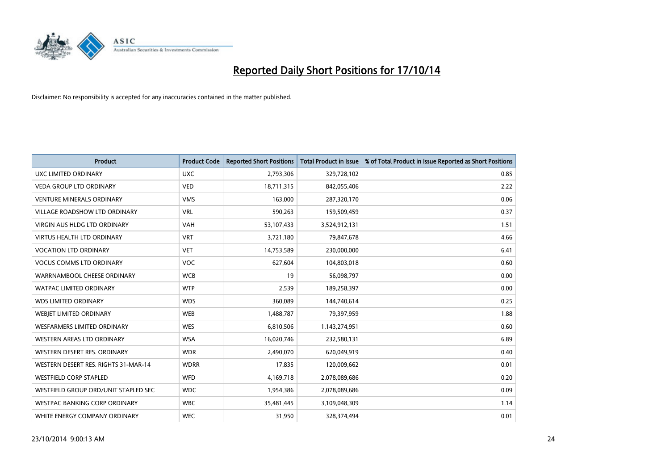

| <b>Product</b>                       | <b>Product Code</b> | <b>Reported Short Positions</b> | <b>Total Product in Issue</b> | % of Total Product in Issue Reported as Short Positions |
|--------------------------------------|---------------------|---------------------------------|-------------------------------|---------------------------------------------------------|
| <b>UXC LIMITED ORDINARY</b>          | <b>UXC</b>          | 2,793,306                       | 329,728,102                   | 0.85                                                    |
| <b>VEDA GROUP LTD ORDINARY</b>       | <b>VED</b>          | 18,711,315                      | 842,055,406                   | 2.22                                                    |
| <b>VENTURE MINERALS ORDINARY</b>     | <b>VMS</b>          | 163,000                         | 287,320,170                   | 0.06                                                    |
| <b>VILLAGE ROADSHOW LTD ORDINARY</b> | <b>VRL</b>          | 590,263                         | 159,509,459                   | 0.37                                                    |
| <b>VIRGIN AUS HLDG LTD ORDINARY</b>  | <b>VAH</b>          | 53,107,433                      | 3,524,912,131                 | 1.51                                                    |
| <b>VIRTUS HEALTH LTD ORDINARY</b>    | <b>VRT</b>          | 3,721,180                       | 79,847,678                    | 4.66                                                    |
| <b>VOCATION LTD ORDINARY</b>         | <b>VET</b>          | 14,753,589                      | 230,000,000                   | 6.41                                                    |
| <b>VOCUS COMMS LTD ORDINARY</b>      | <b>VOC</b>          | 627,604                         | 104,803,018                   | 0.60                                                    |
| WARRNAMBOOL CHEESE ORDINARY          | <b>WCB</b>          | 19                              | 56,098,797                    | 0.00                                                    |
| <b>WATPAC LIMITED ORDINARY</b>       | <b>WTP</b>          | 2,539                           | 189,258,397                   | 0.00                                                    |
| <b>WDS LIMITED ORDINARY</b>          | <b>WDS</b>          | 360,089                         | 144,740,614                   | 0.25                                                    |
| WEBIET LIMITED ORDINARY              | <b>WEB</b>          | 1,488,787                       | 79,397,959                    | 1.88                                                    |
| <b>WESFARMERS LIMITED ORDINARY</b>   | <b>WES</b>          | 6,810,506                       | 1,143,274,951                 | 0.60                                                    |
| WESTERN AREAS LTD ORDINARY           | <b>WSA</b>          | 16,020,746                      | 232,580,131                   | 6.89                                                    |
| WESTERN DESERT RES. ORDINARY         | <b>WDR</b>          | 2,490,070                       | 620,049,919                   | 0.40                                                    |
| WESTERN DESERT RES. RIGHTS 31-MAR-14 | <b>WDRR</b>         | 17,835                          | 120,009,662                   | 0.01                                                    |
| <b>WESTFIELD CORP STAPLED</b>        | WFD                 | 4,169,718                       | 2,078,089,686                 | 0.20                                                    |
| WESTFIELD GROUP ORD/UNIT STAPLED SEC | <b>WDC</b>          | 1,954,386                       | 2,078,089,686                 | 0.09                                                    |
| <b>WESTPAC BANKING CORP ORDINARY</b> | <b>WBC</b>          | 35,481,445                      | 3,109,048,309                 | 1.14                                                    |
| WHITE ENERGY COMPANY ORDINARY        | <b>WEC</b>          | 31,950                          | 328,374,494                   | 0.01                                                    |